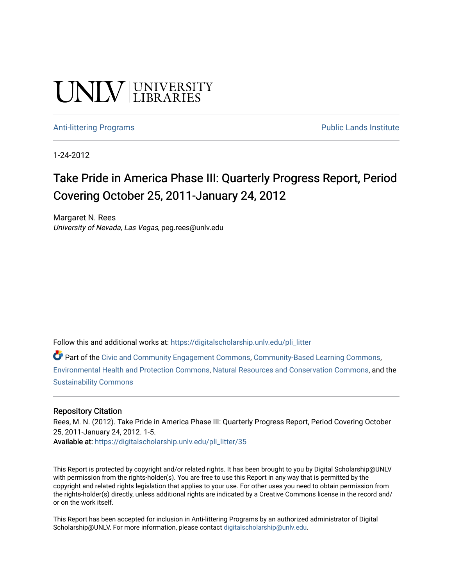# **UNIVERSITY**

#### [Anti-littering Programs](https://digitalscholarship.unlv.edu/pli_litter) **Public Lands Institute** Public Lands Institute

1-24-2012

## Take Pride in America Phase III: Quarterly Progress Report, Period Covering October 25, 2011-January 24, 2012

Margaret N. Rees University of Nevada, Las Vegas, peg.rees@unlv.edu

Follow this and additional works at: [https://digitalscholarship.unlv.edu/pli\\_litter](https://digitalscholarship.unlv.edu/pli_litter?utm_source=digitalscholarship.unlv.edu%2Fpli_litter%2F35&utm_medium=PDF&utm_campaign=PDFCoverPages) 

Part of the [Civic and Community Engagement Commons](http://network.bepress.com/hgg/discipline/1028?utm_source=digitalscholarship.unlv.edu%2Fpli_litter%2F35&utm_medium=PDF&utm_campaign=PDFCoverPages), [Community-Based Learning Commons](http://network.bepress.com/hgg/discipline/1046?utm_source=digitalscholarship.unlv.edu%2Fpli_litter%2F35&utm_medium=PDF&utm_campaign=PDFCoverPages), [Environmental Health and Protection Commons](http://network.bepress.com/hgg/discipline/172?utm_source=digitalscholarship.unlv.edu%2Fpli_litter%2F35&utm_medium=PDF&utm_campaign=PDFCoverPages), [Natural Resources and Conservation Commons](http://network.bepress.com/hgg/discipline/168?utm_source=digitalscholarship.unlv.edu%2Fpli_litter%2F35&utm_medium=PDF&utm_campaign=PDFCoverPages), and the [Sustainability Commons](http://network.bepress.com/hgg/discipline/1031?utm_source=digitalscholarship.unlv.edu%2Fpli_litter%2F35&utm_medium=PDF&utm_campaign=PDFCoverPages)

#### Repository Citation

Rees, M. N. (2012). Take Pride in America Phase III: Quarterly Progress Report, Period Covering October 25, 2011-January 24, 2012. 1-5. Available at: [https://digitalscholarship.unlv.edu/pli\\_litter/35](https://digitalscholarship.unlv.edu/pli_litter/35)

This Report is protected by copyright and/or related rights. It has been brought to you by Digital Scholarship@UNLV with permission from the rights-holder(s). You are free to use this Report in any way that is permitted by the copyright and related rights legislation that applies to your use. For other uses you need to obtain permission from the rights-holder(s) directly, unless additional rights are indicated by a Creative Commons license in the record and/ or on the work itself.

This Report has been accepted for inclusion in Anti-littering Programs by an authorized administrator of Digital Scholarship@UNLV. For more information, please contact [digitalscholarship@unlv.edu.](mailto:digitalscholarship@unlv.edu)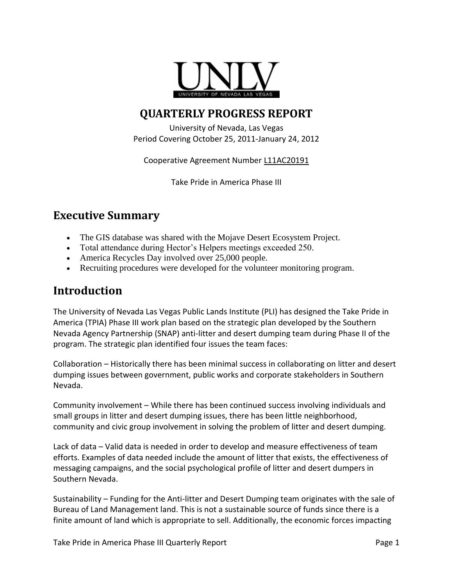

## **QUARTERLY PROGRESS REPORT**

University of Nevada, Las Vegas Period Covering October 25, 2011-January 24, 2012

Cooperative Agreement Number L11AC20191

Take Pride in America Phase III

## **Executive Summary**

- The GIS database was shared with the Mojave Desert Ecosystem Project.
- Total attendance during Hector's Helpers meetings exceeded 250.
- America Recycles Day involved over 25,000 people.
- Recruiting procedures were developed for the volunteer monitoring program.

### **Introduction**

The University of Nevada Las Vegas Public Lands Institute (PLI) has designed the Take Pride in America (TPIA) Phase III work plan based on the strategic plan developed by the Southern Nevada Agency Partnership (SNAP) anti-litter and desert dumping team during Phase II of the program. The strategic plan identified four issues the team faces:

Collaboration – Historically there has been minimal success in collaborating on litter and desert dumping issues between government, public works and corporate stakeholders in Southern Nevada.

Community involvement – While there has been continued success involving individuals and small groups in litter and desert dumping issues, there has been little neighborhood, community and civic group involvement in solving the problem of litter and desert dumping.

Lack of data – Valid data is needed in order to develop and measure effectiveness of team efforts. Examples of data needed include the amount of litter that exists, the effectiveness of messaging campaigns, and the social psychological profile of litter and desert dumpers in Southern Nevada.

Sustainability – Funding for the Anti-litter and Desert Dumping team originates with the sale of Bureau of Land Management land. This is not a sustainable source of funds since there is a finite amount of land which is appropriate to sell. Additionally, the economic forces impacting

Take Pride in America Phase III Quarterly Report **Page 1** and Page 1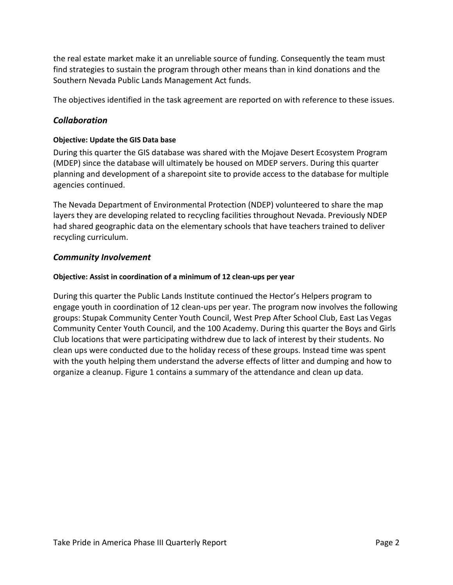the real estate market make it an unreliable source of funding. Consequently the team must find strategies to sustain the program through other means than in kind donations and the Southern Nevada Public Lands Management Act funds.

The objectives identified in the task agreement are reported on with reference to these issues.

#### *Collaboration*

#### **Objective: Update the GIS Data base**

During this quarter the GIS database was shared with the Mojave Desert Ecosystem Program (MDEP) since the database will ultimately be housed on MDEP servers. During this quarter planning and development of a sharepoint site to provide access to the database for multiple agencies continued.

The Nevada Department of Environmental Protection (NDEP) volunteered to share the map layers they are developing related to recycling facilities throughout Nevada. Previously NDEP had shared geographic data on the elementary schools that have teachers trained to deliver recycling curriculum.

#### *Community Involvement*

#### **Objective: Assist in coordination of a minimum of 12 clean-ups per year**

During this quarter the Public Lands Institute continued the Hector's Helpers program to engage youth in coordination of 12 clean-ups per year. The program now involves the following groups: Stupak Community Center Youth Council, West Prep After School Club, East Las Vegas Community Center Youth Council, and the 100 Academy. During this quarter the Boys and Girls Club locations that were participating withdrew due to lack of interest by their students. No clean ups were conducted due to the holiday recess of these groups. Instead time was spent with the youth helping them understand the adverse effects of litter and dumping and how to organize a cleanup. Figure 1 contains a summary of the attendance and clean up data.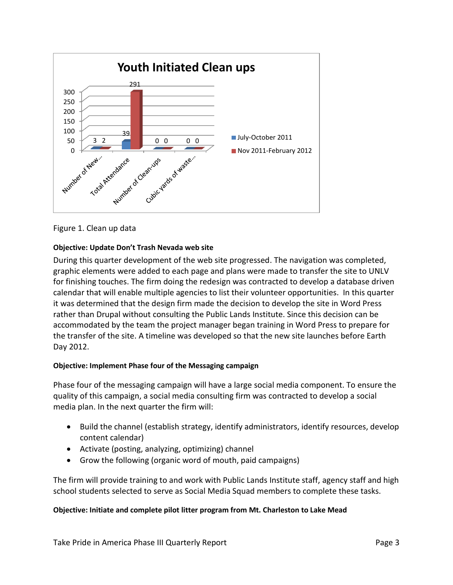

Figure 1. Clean up data

#### **Objective: Update Don't Trash Nevada web site**

During this quarter development of the web site progressed. The navigation was completed, graphic elements were added to each page and plans were made to transfer the site to UNLV for finishing touches. The firm doing the redesign was contracted to develop a database driven calendar that will enable multiple agencies to list their volunteer opportunities. In this quarter it was determined that the design firm made the decision to develop the site in Word Press rather than Drupal without consulting the Public Lands Institute. Since this decision can be accommodated by the team the project manager began training in Word Press to prepare for the transfer of the site. A timeline was developed so that the new site launches before Earth Day 2012.

#### **Objective: Implement Phase four of the Messaging campaign**

Phase four of the messaging campaign will have a large social media component. To ensure the quality of this campaign, a social media consulting firm was contracted to develop a social media plan. In the next quarter the firm will:

- Build the channel (establish strategy, identify administrators, identify resources, develop content calendar)
- Activate (posting, analyzing, optimizing) channel
- Grow the following (organic word of mouth, paid campaigns)

The firm will provide training to and work with Public Lands Institute staff, agency staff and high school students selected to serve as Social Media Squad members to complete these tasks.

#### **Objective: Initiate and complete pilot litter program from Mt. Charleston to Lake Mead**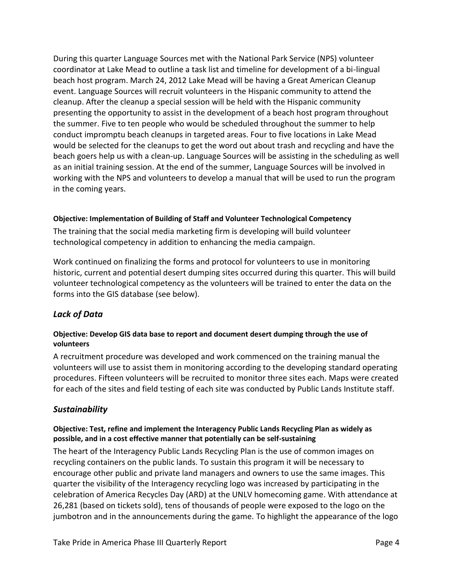During this quarter Language Sources met with the National Park Service (NPS) volunteer coordinator at Lake Mead to outline a task list and timeline for development of a bi-lingual beach host program. March 24, 2012 Lake Mead will be having a Great American Cleanup event. Language Sources will recruit volunteers in the Hispanic community to attend the cleanup. After the cleanup a special session will be held with the Hispanic community presenting the opportunity to assist in the development of a beach host program throughout the summer. Five to ten people who would be scheduled throughout the summer to help conduct impromptu beach cleanups in targeted areas. Four to five locations in Lake Mead would be selected for the cleanups to get the word out about trash and recycling and have the beach goers help us with a clean-up. Language Sources will be assisting in the scheduling as well as an initial training session. At the end of the summer, Language Sources will be involved in working with the NPS and volunteers to develop a manual that will be used to run the program in the coming years.

#### **Objective: Implementation of Building of Staff and Volunteer Technological Competency**

The training that the social media marketing firm is developing will build volunteer technological competency in addition to enhancing the media campaign.

Work continued on finalizing the forms and protocol for volunteers to use in monitoring historic, current and potential desert dumping sites occurred during this quarter. This will build volunteer technological competency as the volunteers will be trained to enter the data on the forms into the GIS database (see below).

#### *Lack of Data*

#### **Objective: Develop GIS data base to report and document desert dumping through the use of volunteers**

A recruitment procedure was developed and work commenced on the training manual the volunteers will use to assist them in monitoring according to the developing standard operating procedures. Fifteen volunteers will be recruited to monitor three sites each. Maps were created for each of the sites and field testing of each site was conducted by Public Lands Institute staff.

#### *Sustainability*

#### **Objective: Test, refine and implement the Interagency Public Lands Recycling Plan as widely as possible, and in a cost effective manner that potentially can be self-sustaining**

The heart of the Interagency Public Lands Recycling Plan is the use of common images on recycling containers on the public lands. To sustain this program it will be necessary to encourage other public and private land managers and owners to use the same images. This quarter the visibility of the Interagency recycling logo was increased by participating in the celebration of America Recycles Day (ARD) at the UNLV homecoming game. With attendance at 26,281 (based on tickets sold), tens of thousands of people were exposed to the logo on the jumbotron and in the announcements during the game. To highlight the appearance of the logo